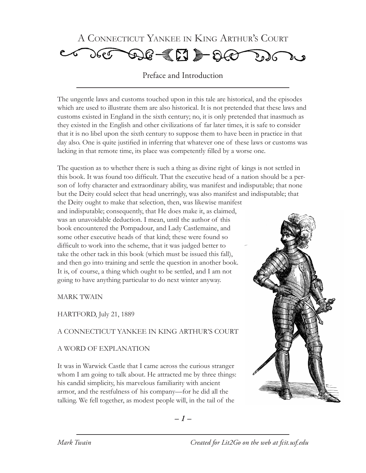

Preface and Introduction

The ungentle laws and customs touched upon in this tale are historical, and the episodes which are used to illustrate them are also historical. It is not pretended that these laws and customs existed in England in the sixth century; no, it is only pretended that inasmuch as they existed in the English and other civilizations of far later times, it is safe to consider that it is no libel upon the sixth century to suppose them to have been in practice in that day also. One is quite justified in inferring that whatever one of these laws or customs was lacking in that remote time, its place was competently filled by a worse one.

The question as to whether there is such a thing as divine right of kings is not settled in this book. It was found too difficult. That the executive head of a nation should be a person of lofty character and extraordinary ability, was manifest and indisputable; that none but the Deity could select that head unerringly, was also manifest and indisputable; that the Deity ought to make that selection, then, was likewise manifest and indisputable; consequently, that He does make it, as claimed, was an unavoidable deduction. I mean, until the author of this book encountered the Pompadour, and Lady Castlemaine, and some other executive heads of that kind; these were found so difficult to work into the scheme, that it was judged better to take the other tack in this book (which must be issued this fall), and then go into training and settle the question in another book. It is, of course, a thing which ought to be settled, and I am not going to have anything particular to do next winter anyway.

MARK TWAIN

HARTFORD, July 21, 1889

## A CONNECTICUT YANKEE IN KING ARTHUR'S COURT

## A WORD OF EXPLANATION

It was in Warwick Castle that I came across the curious stranger whom I am going to talk about. He attracted me by three things: his candid simplicity, his marvelous familiarity with ancient armor, and the restfulness of his company—for he did all the talking. We fell together, as modest people will, in the tail of the

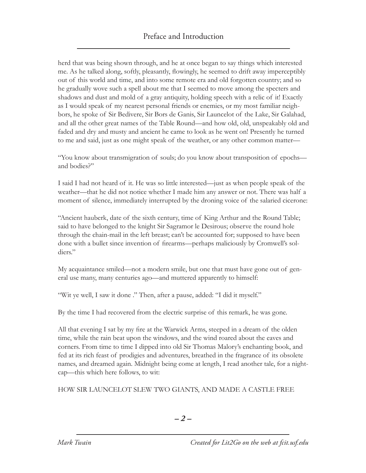herd that was being shown through, and he at once began to say things which interested me. As he talked along, softly, pleasantly, flowingly, he seemed to drift away imperceptibly out of this world and time, and into some remote era and old forgotten country; and so he gradually wove such a spell about me that I seemed to move among the specters and shadows and dust and mold of a gray antiquity, holding speech with a relic of it! Exactly as I would speak of my nearest personal friends or enemies, or my most familiar neighbors, he spoke of Sir Bedivere, Sir Bors de Ganis, Sir Launcelot of the Lake, Sir Galahad, and all the other great names of the Table Round—and how old, old, unspeakably old and faded and dry and musty and ancient he came to look as he went on! Presently he turned to me and said, just as one might speak of the weather, or any other common matter—

"You know about transmigration of souls; do you know about transposition of epochs and bodies?"

I said I had not heard of it. He was so little interested—just as when people speak of the weather—that he did not notice whether I made him any answer or not. There was half a moment of silence, immediately interrupted by the droning voice of the salaried cicerone:

"Ancient hauberk, date of the sixth century, time of King Arthur and the Round Table; said to have belonged to the knight Sir Sagramor le Desirous; observe the round hole through the chain-mail in the left breast; can't be accounted for; supposed to have been done with a bullet since invention of firearms—perhaps maliciously by Cromwell's soldiers."

My acquaintance smiled—not a modern smile, but one that must have gone out of general use many, many centuries ago—and muttered apparently to himself:

"Wit ye well, I saw it done ." Then, after a pause, added: "I did it myself."

By the time I had recovered from the electric surprise of this remark, he was gone.

All that evening I sat by my fire at the Warwick Arms, steeped in a dream of the olden time, while the rain beat upon the windows, and the wind roared about the eaves and corners. From time to time I dipped into old Sir Thomas Malory's enchanting book, and fed at its rich feast of prodigies and adventures, breathed in the fragrance of its obsolete names, and dreamed again. Midnight being come at length, I read another tale, for a nightcap—this which here follows, to wit:

HOW SIR LAUNCELOT SLEW TWO GIANTS, AND MADE A CASTLE FREE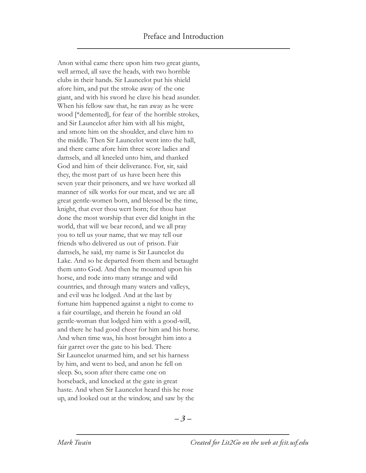Anon withal came there upon him two great giants, well armed, all save the heads, with two horrible clubs in their hands. Sir Launcelot put his shield afore him, and put the stroke away of the one giant, and with his sword he clave his head asunder. When his fellow saw that, he ran away as he were wood [\*demented], for fear of the horrible strokes, and Sir Launcelot after him with all his might, and smote him on the shoulder, and clave him to the middle. Then Sir Launcelot went into the hall, and there came afore him three score ladies and damsels, and all kneeled unto him, and thanked God and him of their deliverance. For, sir, said they, the most part of us have been here this seven year their prisoners, and we have worked all manner of silk works for our meat, and we are all great gentle-women born, and blessed be the time, knight, that ever thou wert born; for thou hast done the most worship that ever did knight in the world, that will we bear record, and we all pray you to tell us your name, that we may tell our friends who delivered us out of prison. Fair damsels, he said, my name is Sir Launcelot du Lake. And so he departed from them and betaught them unto God. And then he mounted upon his horse, and rode into many strange and wild countries, and through many waters and valleys, and evil was he lodged. And at the last by fortune him happened against a night to come to a fair courtilage, and therein he found an old gentle-woman that lodged him with a good-will, and there he had good cheer for him and his horse. And when time was, his host brought him into a fair garret over the gate to his bed. There Sir Launcelot unarmed him, and set his harness by him, and went to bed, and anon he fell on sleep. So, soon after there came one on horseback, and knocked at the gate in great haste. And when Sir Launcelot heard this he rose up, and looked out at the window, and saw by the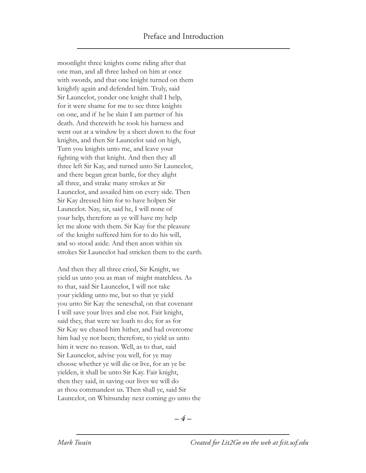moonlight three knights come riding after that one man, and all three lashed on him at once with swords, and that one knight turned on them knightly again and defended him. Truly, said Sir Launcelot, yonder one knight shall I help, for it were shame for me to see three knights on one, and if he be slain I am partner of his death. And therewith he took his harness and went out at a window by a sheet down to the four knights, and then Sir Launcelot said on high, Turn you knights unto me, and leave your fighting with that knight. And then they all three left Sir Kay, and turned unto Sir Launcelot, and there began great battle, for they alight all three, and strake many strokes at Sir Launcelot, and assailed him on every side. Then Sir Kay dressed him for to have holpen Sir Launcelot. Nay, sir, said he, I will none of your help, therefore as ye will have my help let me alone with them. Sir Kay for the pleasure of the knight suffered him for to do his will, and so stood aside. And then anon within six strokes Sir Launcelot had stricken them to the earth.

And then they all three cried, Sir Knight, we yield us unto you as man of might matchless. As to that, said Sir Launcelot, I will not take your yielding unto me, but so that ye yield you unto Sir Kay the seneschal, on that covenant I will save your lives and else not. Fair knight, said they, that were we loath to do; for as for Sir Kay we chased him hither, and had overcome him had ye not been; therefore, to yield us unto him it were no reason. Well, as to that, said Sir Launcelot, advise you well, for ye may choose whether ye will die or live, for an ye be yielden, it shall be unto Sir Kay. Fair knight, then they said, in saving our lives we will do as thou commandest us. Then shall ye, said Sir Launcelot, on Whitsunday next coming go unto the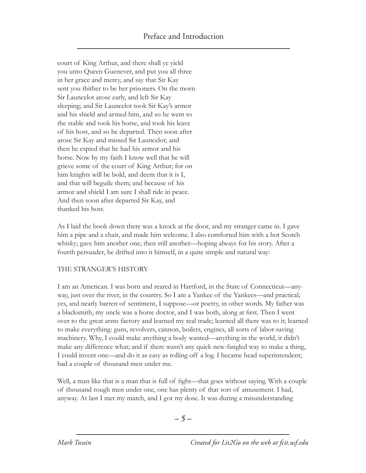court of King Arthur, and there shall ye yield you unto Queen Guenever, and put you all three in her grace and mercy, and say that Sir Kay sent you thither to be her prisoners. On the morn Sir Launcelot arose early, and left Sir Kay sleeping; and Sir Launcelot took Sir Kay's armor and his shield and armed him, and so he went to the stable and took his horse, and took his leave of his host, and so he departed. Then soon after arose Sir Kay and missed Sir Launcelot; and then he espied that he had his armor and his horse. Now by my faith I know well that he will grieve some of the court of King Arthur; for on him knights will be bold, and deem that it is I, and that will beguile them; and because of his armor and shield I am sure I shall ride in peace. And then soon after departed Sir Kay, and thanked his host.

As I laid the book down there was a knock at the door, and my stranger came in. I gave him a pipe and a chair, and made him welcome. I also comforted him with a hot Scotch whisky; gave him another one; then still another—hoping always for his story. After a fourth persuader, he drifted into it himself, in a quite simple and natural way:

## THE STRANGER'S HISTORY

I am an American. I was born and reared in Hartford, in the State of Connecticut—anyway, just over the river, in the country. So I am a Yankee of the Yankees—and practical; yes, and nearly barren of sentiment, I suppose—or poetry, in other words. My father was a blacksmith, my uncle was a horse doctor, and I was both, along at first. Then I went over to the great arms factory and learned my real trade; learned all there was to it; learned to make everything: guns, revolvers, cannon, boilers, engines, all sorts of labor-saving machinery. Why, I could make anything a body wanted—anything in the world, it didn't make any difference what; and if there wasn't any quick new-fangled way to make a thing, I could invent one—and do it as easy as rolling off a log. I became head superintendent; had a couple of thousand men under me.

Well, a man like that is a man that is full of fight—that goes without saying. With a couple of thousand rough men under one, one has plenty of that sort of amusement. I had, anyway. At last I met my match, and I got my dose. It was during a misunderstanding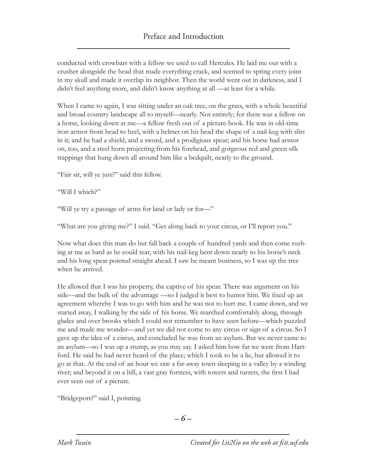conducted with crowbars with a fellow we used to call Hercules. He laid me out with a crusher alongside the head that made everything crack, and seemed to spring every joint in my skull and made it overlap its neighbor. Then the world went out in darkness, and I didn't feel anything more, and didn't know anything at all —at least for a while.

When I came to again, I was sitting under an oak tree, on the grass, with a whole beautiful and broad country landscape all to myself—nearly. Not entirely; for there was a fellow on a horse, looking down at me—a fellow fresh out of a picture-book. He was in old-time iron armor from head to heel, with a helmet on his head the shape of a nail-keg with slits in it; and he had a shield, and a sword, and a prodigious spear; and his horse had armor on, too, and a steel horn projecting from his forehead, and gorgeous red and green silk trappings that hung down all around him like a bedquilt, nearly to the ground.

"Fair sir, will ye just?" said this fellow.

"Will I which?"

"Will ye try a passage of arms for land or lady or for—"

"What are you giving me?" I said. "Get along back to your circus, or I'll report you."

Now what does this man do but fall back a couple of hundred yards and then come rushing at me as hard as he could tear, with his nail-keg bent down nearly to his horse's neck and his long spear pointed straight ahead. I saw he meant business, so I was up the tree when he arrived.

He allowed that I was his property, the captive of his spear. There was argument on his side—and the bulk of the advantage —so I judged it best to humor him. We fixed up an agreement whereby I was to go with him and he was not to hurt me. I came down, and we started away, I walking by the side of his horse. We marched comfortably along, through glades and over brooks which I could not remember to have seen before—which puzzled me and made me wonder—and yet we did not come to any circus or sign of a circus. So I gave up the idea of a circus, and concluded he was from an asylum. But we never came to an asylum—so I was up a stump, as you may say. I asked him how far we were from Hartford. He said he had never heard of the place; which I took to be a lie, but allowed it to go at that. At the end of an hour we saw a far-away town sleeping in a valley by a winding river; and beyond it on a hill, a vast gray fortress, with towers and turrets, the first I had ever seen out of a picture.

"Bridgeport?" said I, pointing.